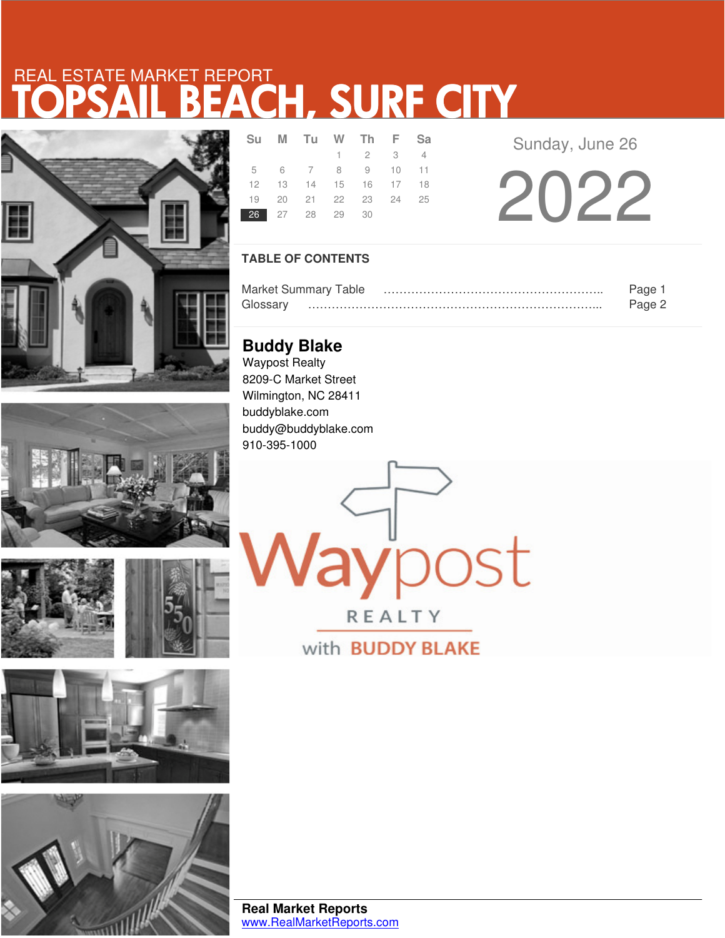# TOPSAIL BEACH, SURF CITY REAL ESTATE MARKET REPORT





|--|







|                | Su M Tu W Th F Sa          |                             |  |
|----------------|----------------------------|-----------------------------|--|
|                |                            | $1 \quad 2 \quad 3 \quad 4$ |  |
|                | 5 6 7 8 9 10 11            |                             |  |
|                | 12  13  14  15  16  17  18 |                             |  |
|                | 19 20 21 22 23 24 25       |                             |  |
| 26 27 28 29 30 |                            |                             |  |
|                |                            |                             |  |

Sunday, June 26

2022

### **TABLE OF CONTENTS**

|          | <b>Market Summary Table</b> | rade   |
|----------|-----------------------------|--------|
| Glossarv |                             | Pane 2 |

aypost

REALTY

with **BUDDY BLAKE** 

**Buddy Blake** Waypost Realty 8209-C Market Street Wilmington, NC 28411 buddyblake.com buddy@buddyblake.com 910-395-1000

**Real Market Reports** www.RealMarketReports.com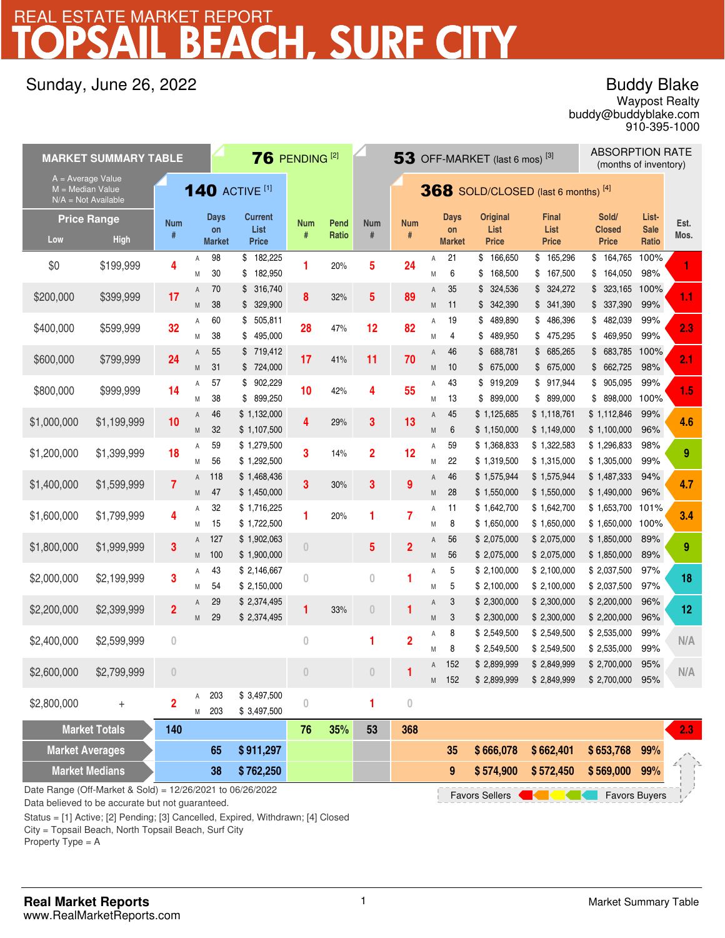# CH, SURF CITY REAL ESTATE MARKET REPORT

## Sunday, June 26, 2022

## Buddy Blake

buddy@buddyblake.com Waypost Realty 910-395-1000

| $76$ PENDING <sup>[2]</sup><br>53 OFF-MARKET (last 6 mos) $^{[3]}$<br><b>MARKET SUMMARY TABLE</b> |                                   |                         |                |                                       |                                             | <b>ABSORPTION RATE</b><br>(months of inventory) |               |                                      |                  |                |                             |                                             |                                      |                                        |                               |              |
|---------------------------------------------------------------------------------------------------|-----------------------------------|-------------------------|----------------|---------------------------------------|---------------------------------------------|-------------------------------------------------|---------------|--------------------------------------|------------------|----------------|-----------------------------|---------------------------------------------|--------------------------------------|----------------------------------------|-------------------------------|--------------|
| A = Average Value<br><b>140 ACTIVE [1]</b><br>M = Median Value<br>$N/A = Not Available$           |                                   |                         |                | $368$ SOLD/CLOSED (last 6 months) [4] |                                             |                                                 |               |                                      |                  |                |                             |                                             |                                      |                                        |                               |              |
| Low                                                                                               | <b>Price Range</b><br><b>High</b> | <b>Num</b><br>#         |                | <b>Days</b><br>on<br><b>Market</b>    | <b>Current</b><br>List<br><b>Price</b>      | Num<br>#                                        | Pend<br>Ratio | <b>Num</b><br>$\#$                   | <b>Num</b><br>#  |                | Days<br>on<br><b>Market</b> | <b>Original</b><br>List<br><b>Price</b>     | <b>Final</b><br>List<br><b>Price</b> | Sold/<br><b>Closed</b><br><b>Price</b> | List-<br><b>Sale</b><br>Ratio | Est.<br>Mos. |
| \$0                                                                                               | \$199,999                         | 4                       | Α              | 98                                    | \$182,225                                   | 1                                               | 20%           | 5                                    | 24               | Α              | 21                          | 166,650<br>\$                               | \$<br>165,296                        | \$164,765                              | 100%                          |              |
| \$200,000                                                                                         | \$399,999                         | 17                      | M<br>Α<br>M    | 30<br>70<br>38                        | 182,950<br>\$<br>\$316,740                  | 8                                               | 32%           | 5                                    | 89               | M<br>Α<br>M    | 6<br>35<br>11               | \$<br>168,500<br>324,536<br>\$<br>\$342,390 | \$167,500<br>\$324,272               | \$164,050<br>\$323,165<br>\$337,390    | 98%<br>100%<br>99%            | 1.1          |
| \$400,000                                                                                         | \$599,999                         | 32                      | Α<br>M         | 60<br>38                              | \$329,900<br>505,811<br>\$<br>495,000<br>\$ | 28                                              | 47%           | 12                                   | 82               | Α<br>M         | 19<br>4                     | 489,890<br>\$<br>489,950<br>\$              | \$341,390<br>\$486,396<br>\$475,295  | 482,039<br>\$<br>469,950<br>\$         | 99%<br>99%                    | 2.3          |
| \$600,000                                                                                         | \$799,999                         | 24                      | Α<br>M         | 55<br>31                              | \$719,412<br>\$724,000                      | 17                                              | 41%           | 11                                   | 70               | Α<br>M         | 46<br>10                    | 688,781<br>\$<br>\$ 675,000                 | \$685,265<br>\$675,000               | \$683,785<br>\$662,725                 | 100%<br>98%                   | 2.1          |
| \$800,000                                                                                         | \$999,999                         | 14                      | Α<br>М         | 57<br>38                              | \$902,229<br>899,250<br>\$                  | 10                                              | 42%           | 4                                    | 55               | Α<br>M         | 43<br>13                    | \$919,209<br>899,000<br>\$                  | \$917,944<br>\$899,000               | \$905,095<br>\$898,000                 | 99%<br>100%                   | 1.5          |
| \$1,000,000                                                                                       | \$1,199,999                       | 10                      | A<br>${\sf M}$ | 46<br>32                              | \$1,132,000<br>\$1,107,500                  | 4                                               | 29%           | 3                                    | 13               | Α<br>M         | 45<br>6                     | \$1,125,685<br>\$1,150,000                  | \$1,118,761<br>\$1,149,000           | \$1,112,846<br>\$1,100,000             | 99%<br>96%                    | 4.6          |
| \$1,200,000                                                                                       | \$1,399,999                       | 18                      | Α<br>M         | 59<br>56                              | \$1,279,500<br>\$1,292,500                  | 3                                               | 14%           | $\overline{2}$                       | 12               | Α<br>M         | 59<br>22                    | \$1,368,833<br>\$1,319,500                  | \$1,322,583<br>\$1,315,000           | \$1,296,833<br>\$1,305,000             | 98%<br>99%                    | 9            |
| \$1,400,000                                                                                       | \$1,599,999                       | $\overline{\mathbf{r}}$ | A<br>M         | 118<br>47                             | \$1,468,436<br>\$1,450,000                  | 3                                               | $30\%$        | 3                                    | 9                | Α<br>M         | 46<br>28                    | \$1,575,944<br>\$1,550,000                  | \$1,575,944<br>\$1,550,000           | \$1,487,333<br>\$1,490,000             | 94%<br>96%                    | 4.7          |
| \$1,600,000                                                                                       | \$1,799,999                       | 4                       | Α<br>M         | 32<br>15                              | \$1,716,225<br>\$1,722,500                  | 1                                               | 20%           | 1                                    | $\overline{7}$   | Α<br>M         | 11<br>8                     | \$1,642,700<br>\$1,650,000                  | \$1,642,700<br>\$1,650,000           | \$1,653,700<br>\$1,650,000             | 101%<br>100%                  | 3.4          |
| \$1,800,000                                                                                       | \$1,999,999                       | 3                       | A<br>M         | 127<br>100                            | \$1,902,063<br>\$1,900,000                  | $\theta$                                        |               | 5                                    | $\overline{2}$   | Α<br>${\sf M}$ | 56<br>56                    | \$2,075,000<br>\$2,075,000                  | \$2,075,000<br>\$2,075,000           | \$1,850,000<br>\$1,850,000             | 89%<br>89%                    | 9            |
| \$2,000,000                                                                                       | \$2,199,999                       | 3                       | Α<br>M         | 43<br>54                              | \$2,146,667<br>\$2,150,000                  | 0                                               |               | $\bf{0}$                             | 1                | Α<br>M         | 5<br>5                      | \$2,100,000<br>\$2,100,000                  | \$2,100,000<br>\$2,100,000           | \$2,037,500<br>\$2,037,500             | 97%<br>97%                    | 18           |
| \$2,200,000                                                                                       | \$2,399,999                       | $\overline{\mathbf{2}}$ | Α<br>M         | 29<br>29                              | \$2,374,495<br>\$2,374,495                  | 1                                               | 33%           | $\begin{matrix} 0 \\ 0 \end{matrix}$ | 1                | Α<br>M         | 3<br>3                      | \$2,300,000<br>\$2,300,000                  | \$2,300,000<br>\$2,300,000           | \$2,200,000<br>\$2,200,000             | 96%<br>96%                    | 12           |
| \$2,400,000                                                                                       | \$2,599,999                       | $\bf{0}$                |                |                                       |                                             | 0                                               |               | 1                                    | $\overline{2}$   | Α<br>M         | 8<br>8                      | \$2,549,500<br>\$2,549,500                  | \$2,549,500<br>\$2,549,500           | \$2,535,000<br>\$2,535,000             | 99%<br>99%                    | N/A          |
| \$2,600,000                                                                                       | \$2,799,999                       | $\overline{0}$          |                |                                       |                                             | $\theta$                                        |               | $\overline{0}$                       | 1                | A<br>M         | 152<br>152                  | \$2,899,999<br>\$2,899,999                  | \$2,849,999<br>\$2,849,999           | \$2,700,000<br>\$2,700,000 95%         | 95%                           | N/A          |
| \$2,800,000                                                                                       | $^{+}$                            | $\overline{2}$          | A<br>M         | 203<br>203                            | \$3,497,500<br>\$3,497,500                  | $\boldsymbol{0}$                                |               | 1                                    | $\boldsymbol{0}$ |                |                             |                                             |                                      |                                        |                               |              |
|                                                                                                   | <b>Market Totals</b>              | 140                     |                |                                       |                                             | 76                                              | 35%           | 53                                   | 368              |                |                             |                                             |                                      |                                        |                               | 2.3          |
| <b>Market Averages</b>                                                                            |                                   |                         |                | 65                                    | \$911,297                                   |                                                 |               |                                      |                  |                | 35                          | \$666,078                                   | \$662,401                            | \$653,768                              | 99%                           |              |
|                                                                                                   | <b>Market Medians</b>             |                         |                | 38                                    | \$762,250                                   |                                                 |               |                                      |                  |                | $\boldsymbol{9}$            | \$574,900                                   | \$572,450                            | \$569,000                              | 99%                           |              |

Date Range (Off-Market & Sold) = 12/26/2021 to 06/26/2022

Data believed to be accurate but not guaranteed.

Status = [1] Active; [2] Pending; [3] Cancelled, Expired, Withdrawn; [4] Closed

City = Topsail Beach, North Topsail Beach, Surf City

Property Type = A

Favors Sellers **General Contract Contract Contract Contract Contract Contract Contract Contract Contract Contract Contract Contract Contract Contract Contract Contract Contract Contract Contract Contract Contract Contract**